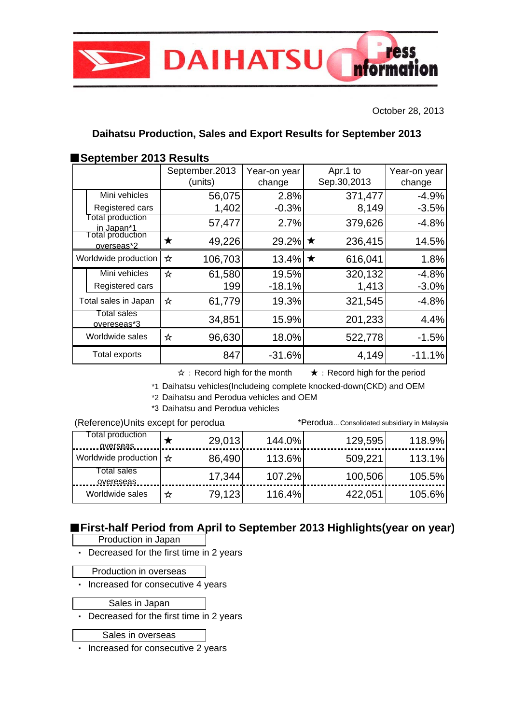

October 28, 2013

### **Daihatsu Production, Sales and Export Results for September 2013**

### ■**September 2013 Results**

|                                            | September.2013<br>(units) | Year-on year<br>change | Apr.1 to<br>Sep.30,2013 | Year-on year<br>change |
|--------------------------------------------|---------------------------|------------------------|-------------------------|------------------------|
| Mini vehicles                              | 56,075                    | 2.8%                   | 371,477                 | $-4.9%$                |
| Registered cars<br><b>Total production</b> | 1,402                     | $-0.3%$                | 8,149                   | $-3.5%$                |
| in Japan*1                                 | 57,477                    | 2.7%                   | 379,626                 | $-4.8%$                |
| otal production<br>overseas*2              | 49,226<br>Х               | 29.2%                  | 236,415<br>$\star$      | 14.5%                  |
| Worldwide production                       | 106,703<br>☆              | 13.4% $\star$          | 616,041                 | 1.8%                   |
| Mini vehicles                              | ☆<br>61,580               | 19.5%                  | 320,132                 | $-4.8%$                |
| Registered cars                            |                           | $-18.1%$<br>199        | 1,413                   | $-3.0%$                |
| Total sales in Japan                       | ☆<br>61,779               | 19.3%                  | 321,545                 | $-4.8%$                |
| Total sales<br>overeseas*3                 | 34,851                    | 15.9%                  | 201,233                 | 4.4%                   |
| Worldwide sales                            | 96,630<br>☆               | 18.0%                  | 522,778                 | $-1.5%$                |
| <b>Total exports</b>                       |                           | 847<br>$-31.6%$        | 4,149                   | $-11.1%$               |

☆:Record high for the month ★:Record high for the period

\*1 Daihatsu vehicles(Includeing complete knocked-down(CKD) and OEM

\*2 Daihatsu and Perodua vehicles and OEM

\*3 Daihatsu and Perodua vehicles

(Reference)Units except for perodua \*Perodua…Consolidated subsidiary in Malaysia

| Total production<br>overseas                        |   | 29,013 | 144.0% | 129,595 | 118.9% |
|-----------------------------------------------------|---|--------|--------|---------|--------|
| Worldwide production $\vert \mathbf{\hat{x}} \vert$ |   | 86,490 | 113.6% | 509,221 | 113.1% |
| Total sales<br>overeseas                            |   | 17,344 | 107.2% | 100,506 | 105.5% |
| Worldwide sales                                     | ☆ | 79,123 | 116.4% | 422,051 | 105.6% |

# ■**First-half Period from April to September 2013 Highlights(year on year)**

Production in Japan

・ Decreased for the first time in 2 years

Production in overseas

・ Increased for consecutive 4 years

Sales in Japan

・ Decreased for the first time in 2 years

Sales in overseas

・ Increased for consecutive 2 years